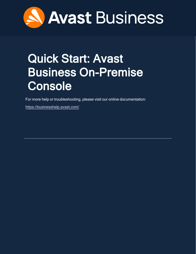

# <span id="page-0-0"></span>Quick Start: Avast Business On-Premise **Console**

For more help or troubleshooting, please visit our online documentation:

<https://businesshelp.avast.com/>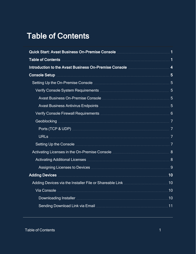# <span id="page-1-0"></span>Table of Contents

| Table of Contents <b>Material Contents</b> 1                      |  |
|-------------------------------------------------------------------|--|
|                                                                   |  |
|                                                                   |  |
|                                                                   |  |
|                                                                   |  |
|                                                                   |  |
|                                                                   |  |
|                                                                   |  |
|                                                                   |  |
|                                                                   |  |
|                                                                   |  |
|                                                                   |  |
|                                                                   |  |
| Activating Additional Licenses Manuscritti and Activation and 8   |  |
| Assigning Licenses to Devices <b>Manual Assigning</b> Licenses 19 |  |
| Adding Devices <b>Manual Adding Devices</b> 10                    |  |
|                                                                   |  |
|                                                                   |  |
|                                                                   |  |
|                                                                   |  |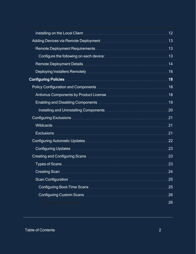|                                                                                   | .12 |
|-----------------------------------------------------------------------------------|-----|
|                                                                                   |     |
|                                                                                   |     |
|                                                                                   |     |
|                                                                                   |     |
|                                                                                   |     |
|                                                                                   |     |
|                                                                                   |     |
|                                                                                   |     |
| Enabling and Disabling Components <b>Manual According to the United States</b> 19 |     |
|                                                                                   | .20 |
|                                                                                   | .21 |
|                                                                                   | .21 |
|                                                                                   | 21  |
| Configuring Automatic Updates <b>Manual Accord Configuring Automatic Updates</b>  | 22  |
|                                                                                   | 23  |
|                                                                                   | 23  |
|                                                                                   | 23  |
|                                                                                   | 24  |
|                                                                                   | 25  |
|                                                                                   | 25  |
|                                                                                   | 26  |
|                                                                                   | 26  |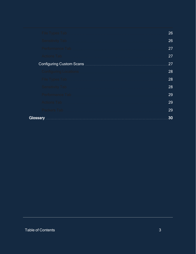| File Types Tab.         | 26 |
|-------------------------|----|
| Sensitivity Tab         | 26 |
|                         | 27 |
| Actions Tab             | 27 |
|                         | 27 |
|                         | 28 |
| File Types Tab          | 28 |
| <b>Sensitivity Tab </b> | 28 |
|                         | 29 |
| Actions Tab             | 29 |
| Packers Tab             | 29 |
| <b>Glossary</b>         | 30 |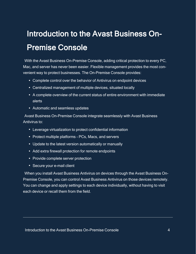# <span id="page-4-0"></span>Introduction to the Avast Business On-Premise Console

With the Avast Business On-Premise Console, adding critical protection to every PC, Mac, and server has never been easier. Flexible management provides the most convenient way to protect businesses. The On-Premise Console provides:

- Complete control over the behavior of Antivirus on endpoint devices
- Centralized management of multiple devices, situated locally
- A complete overview of the current status of entire environment with immediate alerts
- Automatic and seamless updates

Avast Business On-Premise Console integrate seamlessly with Avast Business Antivirus to:

- Leverage virtualization to protect confidential information
- Protect multiple platforms PCs, Macs, and servers
- Update to the latest version automatically or manually
- Add extra firewall protection for remote endpoints
- Provide complete server protection
- Secure your e-mail client

When you install Avast Business Antivirus on devices through the Avast Business On-Premise Console, you can control Avast Business Antivirus on those devices remotely. You can change and apply settings to each device individually, without having to visit each device or recall them from the field.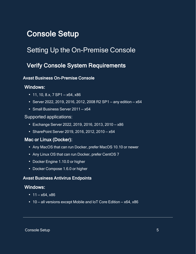# <span id="page-5-1"></span><span id="page-5-0"></span>Console Setup

# <span id="page-5-2"></span>Setting Up the On-Premise Console

# Verify Console System Requirements

## <span id="page-5-3"></span>Avast Business On-Premise Console

## Windows:

- $\cdot$  11, 10, 8.x, 7 SP1 x64, x86
- Server 2022, 2019, 2016, 2012, 2008 R2 SP1 any edition  $x64$
- Small Business Server 2011 x64

#### Supported applications:

- $\cdot$  Exchange Server 2022, 2019, 2016, 2013, 2010 x86
- $\bullet$  SharePoint Server 2019, 2016, 2012, 2010 x64

## Mac or Linux (Docker):

- Any MacOS that can run Docker, prefer MacOS 10.10 or newer
- Any Linux OS that can run Docker, prefer CentOS 7
- Docker Engine 1.10.0 or higher
- <span id="page-5-4"></span>• Docker Compose 1.6.0 or higher

### Avast Business Antivirus Endpoints

#### Windows:

- $11 x64$ ,  $x86$
- $\cdot$  10 all versions except Mobile and IoT Core Edition x64, x86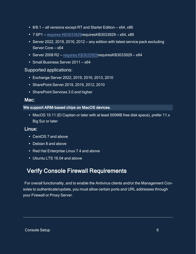- $8/8.1$  all versions except RT and Starter Edition  $x64$ ,  $x86$
- $\cdot$  7 SP1 requires [KB3033929](AV213Reqs.htm)requiresKB3033929 x64, x86
- Server 2022, 2019, 2016, 2012 any edition with latest service pack excluding Server Core — x64
- $\cdot$  Server 2008 R2 requires [KB3033929](AV213Reqs.htm)requiresKB3033929 x64
- Small Business Server 2011 x64

#### Supported applications:

- <sup>l</sup> Exchange Server 2022, 2019, 2016, 2013, 2010
- SharePoint Server 2019, 2016, 2012, 2010
- SharePoint Services 3.0 and higher

#### Mac:

#### We support ARM-based chips on MacOS devices.

• MacOS 10.11 (El Capitan or later with at least 500MB free disk space), prefer 11.x Big Sur or later

### Linux:

- CentOS 7 and above
- $\cdot$  Debian 8 and above
- Red Hat Enterprise Linux 7.4 and above
- <span id="page-6-0"></span>• Ubuntu LTS 16.04 and above

# Verify Console Firewall Requirements

For overall functionality, and to enable the Antivirus clients and/or the Management Consoles to authenticate/update, you must allow certain ports and URL addresses through your Firewall or Proxy Server.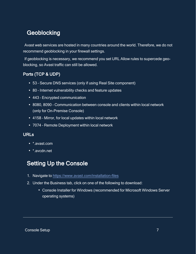# <span id="page-7-0"></span>**Geoblocking**

Avast web services are hosted in many countries around the world. Therefore, we do not recommend geoblocking in your firewall settings.

If geoblocking is necessary, we recommend you set URL Allow rules to supercede geoblocking, so Avast traffic can still be allowed.

# <span id="page-7-1"></span>Ports (TCP & UDP)

- 53 Secure DNS services (only if using Real Site component)
- 80 Internet vulnerability checks and feature updates
- 443 Encrypted communication
- 8080, 8090 Communication between console and clients within local network (only for On-Premise Console)
- 4158 Mirror, for local updates within local network
- <span id="page-7-2"></span>• 7074 - Remote Deployment within local network

### URLs

- \*.avast.com
- <span id="page-7-3"></span>• \* avcdn net

# Setting Up the Console

- 1. Navigate to <https://www.avast.com/installation-files>
- 2. Under the Business tab, click on one of the following to download:
	- Console Installer for Windows (recommended for Microsoft Windows Server operating systems)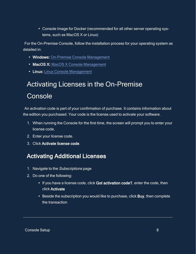• Console Image for Docker (recommended for all other server operating systems, such as MacOS X or Linux)

For the On-Premise Console, follow the installation process for your operating system as detailed in:

- Windows: On-Premise Console [Management](https://businesshelp.avast.com/Content/ArticleLists/AfB_ManagementConsoles/ConsoleManagement.htm)
- MacOS X: MacOS X Console [Management](https://businesshelp.avast.com/Content/ArticleLists/AfB_ManagementConsoles/MacOSXConsole.htm)
- <span id="page-8-0"></span>• Linux: Linux Console [Management](https://businesshelp.avast.com/Content/ArticleLists/AfB_ManagementConsoles/LinuxConsole.htm)

# Activating Licenses in the On-Premise Console

An activation code is part of your confirmation of purchase. It contains information about the edition you purchased. Your code is the license used to activate your software.

- 1. When running the Console for the first time, the screen will prompt you to enter your license code.
- 2. Enter your license code.
- <span id="page-8-1"></span>3. Click Activate license code.

# Activating Additional Licenses

- 1. Navigate to the Subscriptions page
- 2. Do one of the following:
	- If you have a license code, click Got activation code?, enter the code, then click Activate
	- Beside the subscription you would like to purchase, click Buy, then complete the transaction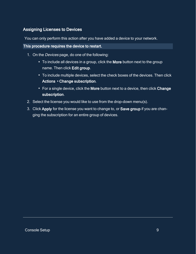## <span id="page-9-0"></span>Assigning Licenses to Devices

You can only perform this action after you have added a device to your network.

#### This procedure requires the device to restart.

- 1. On the *Devices* page, do one of the following:
	- To include all devices in a group, click the More button next to the group name. Then click Edit group.
	- To include multiple devices, select the check boxes of the devices. Then click Actions ▸Change subscription.
	- For a single device, click the More button next to a device, then click Change subscription.
- 2. Select the license you would like to use from the drop-down menu(s).
- 3. Click Apply for the license you want to change to, or Save group if you are changing the subscription for an entire group of devices.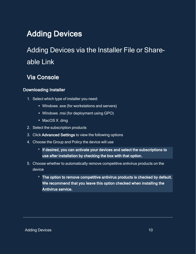# <span id="page-10-1"></span><span id="page-10-0"></span>Adding Devices

# <span id="page-10-2"></span>Adding Devices via the Installer File or Shareable Link

# Via Console

## <span id="page-10-3"></span>Downloading Installer

- 1. Select which type of installer you need:
	- Windows .exe (for workstations and servers)
	- Windows .msi (for deployment using GPO)
	- MacOS X .dmg
- 2. Select the subscription products
- 3. Click Advanced Settings to view the following options
- 4. Choose the Group and Policy the device will use
	- **o** If desired, you can activate your devices and select the subscriptions to use after installation by checking the box with that option.
- 5. Choose whether to automatically remove competitive antivirus products on the device
	- **<sup>o</sup>** The option to remove competitive antivirus products is checked by default. We recommend that you leave this option checked when installing the Antivirus service.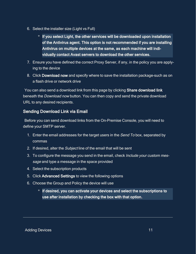- 6. Select the installer size (Light vs Full)
	- **o** If you select Light, the other services will be downloaded upon installation of the Antivirus agent. This option is not recommended if you are installing Antivirus on multiple devices at the same, as each machine will individually contact Avast servers to download the other services.
- 7. Ensure you have defined the correct Proxy Server, if any, in the policy you are applying to the device
- 8. Click Download now and specify where to save the installation package–such as on a flash drive or network drive

You can also send a download link from this page by clicking Share download link beneath the Download now button. You can then copy and send the private download URL to any desired recipients.

## <span id="page-11-0"></span>Sending Download Link via Email

Before you can send download links from the On-Premise Console, you will need to define your SMTP server.

- 1. Enter the email addresses for the target users in the Send To box, separated by commas
- 2. If desired, alter the Subject line of the email that will be sent
- 3. To configure the message you send in the email, check *Include your custom mes*sage and type a message in the space provided
- 4. Select the subscription products
- 5. Click Advanced Settings to view the following options
- 6. Choose the Group and Policy the device will use
	- **o** If desired, you can activate your devices and select the subscriptions to use after installation by checking the box with that option.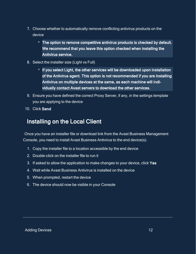- 7. Choose whether to automatically remove conflicting antivirus products on the device
	- **<sup>o</sup>** The option to remove competitive antivirus products is checked by default. We recommend that you leave this option checked when installing the Antivirus service.
- 8. Select the installer size (Light vs Full)
	- **o** If you select Light, the other services will be downloaded upon installation of the Antivirus agent. This option is not recommended if you are installing Antivirus on multiple devices at the same, as each machine will individually contact Avast servers to download the other services.
- 9. Ensure you have defined the correct Proxy Server, if any, in the settings template you are applying to the device
- <span id="page-12-0"></span>10. Click Send

# Installing on the Local Client

Once you have an installer file or download link from the Avast Business Management Console, you need to install Avast Business Antivirus to the end device(s).

- 1. Copy the installer file to a location accessible by the end device
- 2. Double-click on the installer file to run it
- 3. If asked to allow the application to make changes to your device, click Yes
- 4. Wait while Avast Business Antivirus is installed on the device
- 5. When prompted, restart the device
- 6. The device should now be visible in your Console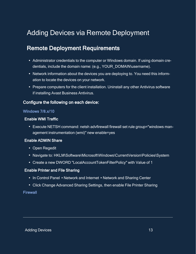# <span id="page-13-1"></span><span id="page-13-0"></span>Adding Devices via Remote Deployment

# Remote Deployment Requirements

- Administrator credentials to the computer or Windows domain. If using domain credentials, include the domain name: (e.g., YOUR\_DOMAIN\username).
- Network information about the devices you are deploying to. You need this information to locate the devices on your network.
- Prepare computers for the client installation. Uninstall any other Antivirus software if installing Avast Business Antivirus.

#### <span id="page-13-2"></span>Configure the following on each device:

#### Windows 7/8.x/10

#### Enable WMI Traffic

• Execute NETSH command: netsh advfirewall firewall set rule group="windows management instrumentation (wmi)" new enable=yes

#### Enable ADMIN Share

- Open Regedit
- Navigate to: HKLM\Software\Microsoft\Windows\CurrentVersion\Policies\System
- Create a new DWORD "LocalAccountTokenFilterPolicy" with Value of 1

#### Enable Printer and File Sharing

- In Control Panel ▶Network and Internet ▶Network and Sharing Center
- Click Change Advanced Sharing Settings, then enable File Printer Sharing

#### Firewall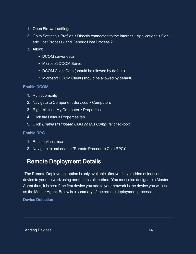- 1. Open Firewall settings
- 2. Go to Settings ▸Profiles ▸Directly connected to the Internet ▸Applications ▸Generic Host Process - and Generic Host Process 2
- 3. Allow:
	- DCOM server data
	- Microsoft DCOM Server
	- DCOM Client Data (should be allowed by default)
	- Microsoft DCOM Client (should be allowed by default)

#### Enable DCOM

- 1. Run dcomcnfg
- 2. Navigate to Component Services ▸Computers
- 3. Right-click on My Computer ▸Properties
- 4. Click the Default Properties tab
- 5. Click Enable Distributed COM on this Computer checkbox

#### Enable RPC

- 1. Run services msc.
- <span id="page-14-0"></span>2. Navigate to and enable "Remote Procedure Call (RPC)"

# Remote Deployment Details

The Remote Deployment option is only available after you have added at least one device to your network using another install method. You must also designate a Master Agent thus, it is best if the first device you add to your network is the device you will use as the Master Agent. Below is a summary of the remote deployment process:

Device Detection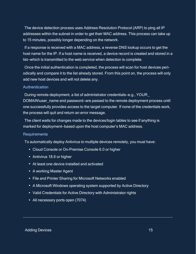The device detection process uses Address Resolution Protocol (ARP) to ping all IP addresses within the subnet in order to get their MAC address. This process can take up to 15 minutes, possibly longer depending on the network.

If a response is received with a MAC address, a reverse DNS lookup occurs to get the host name for the IP. If a host name is received, a device record is created and stored in a list—which is transmitted to the web service when detection is complete.

Once the initial authentication is completed, the process will scan for host devices periodically and compare it to the list already stored. From this point on, the process will only add new host devices and will not delete any.

#### **Authentication**

During remote deployment, a list of administrator credentials—e.g., YOUR\_ DOMAIN\user\_name and password—are passed to the remote deployment process until one successfully provides access to the target computer. If none of the credentials work, the process will quit and return an error message.

The client waits for changes made to the devices/login tables to see if anything is marked for deployment—based upon the host computer's MAC address.

#### **Requirements**

To automatically deploy Antivirus to multiple devices remotely, you must have:

- Cloud Console or On-Premise Console 6.0 or higher
- Antivirus 18.6 or higher
- At least one device installed and activated
- A working Master Agent
- File and Printer Sharing for Microsoft Networks enabled
- A Microsoft Windows operating system supported by Active Directory
- Valid Credentials for Active Directory with Administrator rights
- All necessary ports open (7074)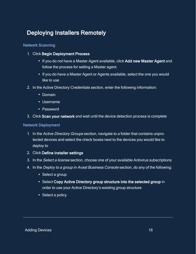# <span id="page-16-0"></span>Deploying Installers Remotely

#### Network Scanning

- 1. Click Begin Deployment Process
	- If you do not have a Master Agent available, click Add new Master Agent and follow the process for setting a Master agent.
	- If you do have a Master Agent or Agents available, select the one you would like to use
- 2. In the Active Directory Credentials section, enter the following information:
	- $\cdot$  Domain
	- Username
	- Password
- 3. Click Scan your network and wait until the device detection process is complete

#### Network Deployment

- 1. In the Active Directory Groups section, navigate to a folder that contains unprotected devices and select the check boxes next to the devices you would like to deploy to
- 2. Click Define installer settings
- 3. In the Select <sup>a</sup> license section, choose one of your available Antivirus subscriptions
- 4. In the Deploy to a group in Avast Business Console section, do any of the following:
	- Select a group
	- Select Copy Active Directory group structure into the selected group in order to use your Active Directory's existing group structure
	- Select a policy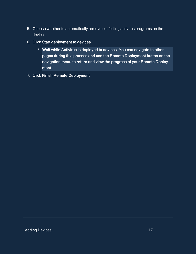- 5. Choose whether to automatically remove conflicting antivirus programs on the device
- 6. Click Start deployment to devices
	- **<sup>o</sup>** Wait while Antivirus is deployed to devices. You can navigate to other pages during this process and use the Remote Deployment button on the navigation menu to return and view the progress of your Remote Deployment.
- 7. Click Finish Remote Deployment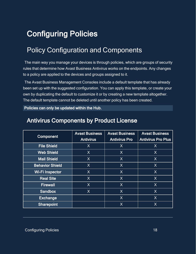# <span id="page-18-1"></span><span id="page-18-0"></span>Configuring Policies

# Policy Configuration and Components

The main way you manage your devices is through policies, which are groups of security rules that determine how Avast Business Antivirus works on the endpoints. Any changes to a policy are applied to the devices and groups assigned to it.

The Avast Business Management Consoles include a default template that has already been set up with the suggested configuration. You can apply this template, or create your own by duplicating the default to customize it or by creating a new template altogether. The default template cannot be deleted until another policy has been created.

<span id="page-18-2"></span>Policies can only be updated within the Hub.

| <b>Component</b>       | <b>Avast Business</b><br><b>Antivirus</b> | <b>Avast Business</b><br><b>Antivirus Pro</b> | <b>Avast Business</b><br><b>Antivirus Pro Plus</b> |
|------------------------|-------------------------------------------|-----------------------------------------------|----------------------------------------------------|
| <b>File Shield</b>     | X                                         | X                                             | $\sf X$                                            |
| <b>Web Shield</b>      | X                                         | X                                             | X                                                  |
| <b>Mail Shield</b>     | X                                         | X                                             | $\sf X$                                            |
| <b>Behavior Shield</b> | $\sf X$                                   | X                                             | X                                                  |
| <b>Wi-Filnspector</b>  | $\sf X$                                   | X                                             | $\sf X$                                            |
| <b>Real Site</b>       | $\sf X$                                   | X                                             | $\sf X$                                            |
| <b>Firewall</b>        | X                                         | X                                             | X                                                  |
| <b>Sandbox</b>         | $\sf X$                                   | X                                             | X                                                  |
| <b>Exchange</b>        |                                           | X                                             | $\sf X$                                            |
| <b>Sharepoint</b>      |                                           | $\sf X$                                       | X                                                  |

# Antivirus Components by Product License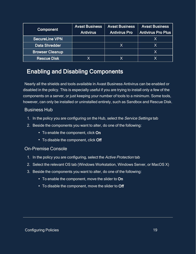| <b>Component</b>       | <b>Avast Business</b><br><b>Antivirus</b> | <b>Avast Business</b><br><b>Antivirus Pro</b> | <b>Avast Business</b><br><b>Antivirus Pro Plus</b> |
|------------------------|-------------------------------------------|-----------------------------------------------|----------------------------------------------------|
| <b>SecureLine VPN</b>  |                                           |                                               | Χ                                                  |
| <b>Data Shredder</b>   |                                           |                                               | X                                                  |
| <b>Browser Cleanup</b> |                                           |                                               | X                                                  |
| <b>Rescue Disk</b>     |                                           |                                               |                                                    |

# <span id="page-19-0"></span>Enabling and Disabling Components

Nearly all the shields and tools available in Avast Business Antivirus can be enabled or disabled in the policy. This is especially useful if you are trying to install only a few of the components on a server, or just keeping your number of tools to a minimum. Some tools, however, can only be installed or uninstalled entirely, such as Sandbox and Rescue Disk.

#### Business Hub

- 1. In the policy you are configuring on the Hub, select the Service Settings tab
- 2. Beside the components you want to alter, do one of the following:
	- To enable the component, click On
	- To disable the component, click Off

#### On-Premise Console

- 1. In the policy you are configuring, select the Active Protection tab
- 2. Select the relevant OS tab (Windows Workstation, Windows Server, or MacOS X)
- 3. Beside the components you want to alter, do one of the following:
	- To enable the component, move the slider to On
	- To disable the component, move the slider to Off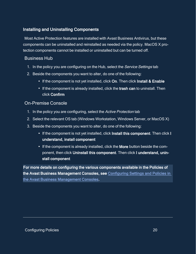## <span id="page-20-0"></span>Installing and Uninstalling Components

Most Active Protection features are installed with Avast Business Antivirus, but these components can be uninstalled and reinstalled as needed via the policy. MacOS X protection components cannot be installed or uninstalled but can be turned off.

## Business Hub

- 1. In the policy you are configuring on the Hub, select the Service Settings tab
- 2. Beside the components you want to alter, do one of the following:
	- If the component is not yet installed, click On. Then click Install & Enable
	- If the component is already installed, click the trash can to uninstall. Then click Confirm

## On-Premise Console

- 1. In the policy you are configuring, select the Active Protection tab
- 2. Select the relevant OS tab (Windows Workstation, Windows Server, or MacOS X)
- 3. Beside the components you want to alter, do one of the following:
	- If the component is not yet installed, click Install this component. Then click I understand, install component
	- If the component is already installed, click the More button beside the component, then click Uninstall this component. Then click I understand, uninstall component

For more details on configuring the various components available in the Policies of the Avast Business Management Consoles, see [Configuring Settings and Policies in](https://businesshelp.avast.com/Content/ArticleLists/AfB_ManagementConsoles/ConfiguringSettingsandPolicies.htm)  [the Avast Business Management Consoles.](https://businesshelp.avast.com/Content/ArticleLists/AfB_ManagementConsoles/ConfiguringSettingsandPolicies.htm)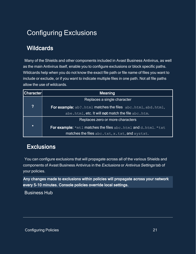# <span id="page-21-1"></span><span id="page-21-0"></span>Configuring Exclusions

# **Wildcards**

Many of the Shields and other components included in Avast Business Antivirus, as well as the main Antivirus itself, enable you to configure exclusions or block specific paths. Wildcards help when you do not know the exact file path or file name of files you want to include or exclude, or if you want to indicate multiple files in one path. Not all file paths allow the use of wildcards.

| <b>Character</b> | <b>Meaning</b>                                                       |
|------------------|----------------------------------------------------------------------|
|                  | Replaces a single character                                          |
| $\boldsymbol{?}$ | <b>For example:</b> ab?.html matches the files abc.html, abd.html,   |
|                  | abe.html, etc. It will not match the file abc.htm.                   |
|                  | Replaces zero or more characters                                     |
| $\star$          | <b>For example:</b> *mtl matches the files abc.html and d.html. *txt |
|                  | matches the files abc.txt, x.txt, and xyztxt.                        |

# <span id="page-21-2"></span>**Exclusions**

You can configure exclusions that will propagate across all of the various Shields and components of Avast Business Antivirus in the Exclusions or Antivirus Settings tab of your policies.

Any changes made to exclusions within policies will propagate across your network every 5-10 minutes. Console policies override local settings.

Business Hub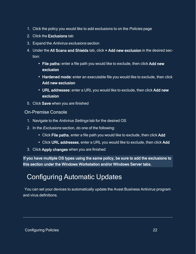- 1. Click the policy you would like to add exclusions to on the *Policies* page
- 2. Click the Exclusions tab
- 3. Expand the Antivirus exclusions section
- 4. Under the All Scans and Shields tab, click + Add new exclusion in the desired section:
	- File paths: enter a file path you would like to exclude, then click Add new exclusion
	- Hardened mode: enter an executable file you would like to exclude, then click Add new exclusion
	- URL addresses: enter a URL you would like to exclude, then click Add new exclusion
- 5. Click Save when you are finished

### On-Premise Console

- 1. Navigate to the Antivirus Settings tab for the desired OS
- 2. In the Exclusions section, do one of the following:
	- Click File paths, enter a file path you would like to exclude, then click Add
	- Click URL addresses, enter a URL you would like to exclude, then click Add
- 3. Click Apply changes when you are finished

<span id="page-22-0"></span>If you have multiple OS types using the same policy, be sure to add the exclusions to this section under the Windows Workstation and/or Windows Server tabs.

# Configuring Automatic Updates

You can set your devices to automatically update the Avast Business Antivirus program and virus definitions.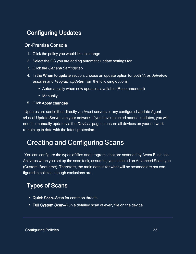# <span id="page-23-0"></span>Configuring Updates

## On-Premise Console

- 1. Click the policy you would like to change
- 2. Select the OS you are adding automatic update settings for
- 3. Click the General Settings tab
- 4. In the When to update section, choose an update option for both Virus definition updates and Program updates from the following options:
	- Automatically when new update is available (Recommended)
	- Manually

#### 5. Click Apply changes

Updates are sent either directly via Avast servers or any configured Update Agents/Local Update Servers on your network. If you have selected manual updates, you will need to manually update via the Devices page to ensure all devices on your network remain up to date with the latest protection.

# <span id="page-23-1"></span>Creating and Configuring Scans

You can configure the types of files and programs that are scanned by Avast Business Antivirus when you set up the scan task, assuming you selected an Advanced Scan type (Custom, Boot-time). Therefore, the main details for what will be scanned are not configured in policies, though exclusions are.

# <span id="page-23-2"></span>Types of Scans

- Quick Scan–Scan for common threats
- Full System Scan–Run a detailed scan of every file on the device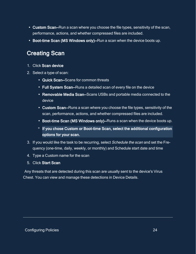- Custom Scan–Run a scan where you choose the file types, sensitivity of the scan, performance, actions, and whether compressed files are included.
- <span id="page-24-0"></span>• Boot-time Scan (MS Windows only)–Run a scan when the device boots up.

# Creating Scan

- 1. Click Scan device
- 2. Select a type of scan:
	- Quick Scan–Scans for common threats
	- Full System Scan–Runs a detailed scan of every file on the device
	- Removable Media Scan–Scans USBs and portable media connected to the device
	- Custom Scan–Runs a scan where you choose the file types, sensitivity of the scan, performance, actions, and whether compressed files are included.
	- Boot-time Scan (MS Windows only)–Runs a scan when the device boots up.
	- **o** If you chose Custom or Boot-time Scan, select the additional configuration options for your scan.
- 3. If you would like the task to be recurring, select Schedule the scan and set the Frequency (one-time, daily, weekly, or monthly) and Schedule start date and time
- 4. Type a Custom name for the scan
- 5. Click Start Scan

Any threats that are detected during this scan are usually sent to the device's Virus Chest. You can view and manage these detections in Device Details.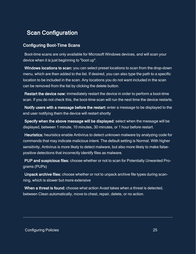# <span id="page-25-0"></span>Scan Configuration

## <span id="page-25-1"></span>Configuring Boot-Time Scans

Boot-time scans are only available for Microsoft Windows devices, and will scan your device when it is just beginning to "boot up".

Windows locations to scan: you can select preset locations to scan from the drop-down menu, which are then added to the list. If desired, you can also type the path to a specific location to be included in the scan. Any locations you do not want included in the scan can be removed from the list by clicking the delete button.

Restart the device now: immediately restart the device in order to perform a boot-time scan. If you do not check this, the boot-time scan will run the next time the device restarts.

Notify users with a message before the restart: enter a message to be displayed to the end user notifying them the device will restart shortly

Specify when the above message will be displayed: select when the message will be displayed, between 1 minute, 10 minutes, 30 minutes, or 1 hour before restart.

Heuristics: heuristics enable Antivirus to detect unknown malware by analyzing code for commands that may indicate malicious intent. The default setting is Normal. With higher sensitivity, Antivirus is more likely to detect malware, but also more likely to make falsepositive detections that incorrectly identify files as malware.

PUP and suspicious files: choose whether or not to scan for Potentially Unwanted Programs (PUPs)

Unpack archive files: choose whether or not to unpack archive file types during scanning, which is slower but more extensive

When a threat is found: choose what action Avast takes when a threat is detected, between Clean automatically, move to chest, repair, delete, or no action.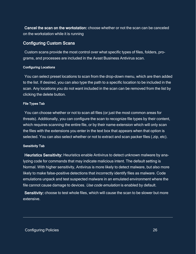Cancel the scan on the workstation: choose whether or not the scan can be canceled on the workstation while it is running

#### <span id="page-26-0"></span>Configuring Custom Scans

Custom scans provide the most control over what specific types of files, folders, programs, and processes are included in the Avast Business Antivirus scan.

#### <span id="page-26-1"></span>Configuring Locations

You can select preset locations to scan from the drop-down menu, which are then added to the list. If desired, you can also type the path to a specific location to be included in the scan. Any locations you do not want included in the scan can be removed from the list by clicking the delete button.

#### <span id="page-26-2"></span>File Types Tab

You can choose whether or not to scan all files (or just the most common areas for threats). Additionally, you can configure the scan to recognize file types by their content, which requires scanning the entire file, or by their name extension which will only scan the files with the extensions you enter in the text box that appears when that option is selected. You can also select whether or not to extract and scan packer files (.zip, etc).

#### <span id="page-26-3"></span>Sensitivity Tab

Heuristics Sensitivity: Heuristics enable Antivirus to detect unknown malware by analyzing code for commands that may indicate malicious intent. The default setting is Normal. With higher sensitivity, Antivirus is more likely to detect malware, but also more likely to make false-positive detections that incorrectly identify files as malware. Code emulations unpack and test suspected malware in an emulated environment where the file cannot cause damage to devices. Use code emulation is enabled by default.

Sensitivity: choose to test whole files, which will cause the scan to be slower but more extensive.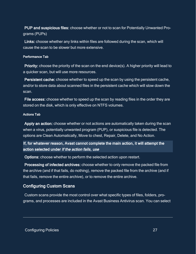PUP and suspicious files: choose whether or not to scan for Potentially Unwanted Programs (PUPs)

Links: choose whether any links within files are followed during the scan, which will cause the scan to be slower but more extensive.

#### <span id="page-27-0"></span>Performance Tab

Priority: choose the priority of the scan on the end device(s). A higher priority will lead to a quicker scan, but will use more resources.

Persistent cache: choose whether to speed up the scan by using the persistent cache, and/or to store data about scanned files in the persistent cache which will slow down the scan.

File access: choose whether to speed up the scan by reading files in the order they are stored on the disk, which is only effective on NTFS volumes.

#### <span id="page-27-1"></span>Actions Tab

Apply an action: choose whether or not actions are automatically taken during the scan when a virus, potentially unwanted program (PUP), or suspicious file is detected. The options are Clean Automatically, Move to chest, Repair, Delete, and No Action.

If, for whatever reason, Avast cannot complete the main action, it will attempt the action selected under If the action fails, use

Options: choose whether to perform the selected action upon restart.

Processing of infected archives: choose whether to only remove the packed file from the archive (and if that fails, do nothing), remove the packed file from the archive (and if that fails, remove the entire archive), or to remove the entire archive.

### <span id="page-27-2"></span>Configuring Custom Scans

Custom scans provide the most control over what specific types of files, folders, programs, and processes are included in the Avast Business Antivirus scan. You can select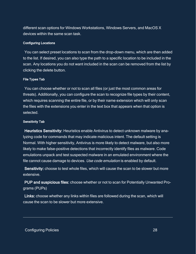different scan options for Windows Workstations, Windows Servers, and MacOS X devices within the same scan task.

#### <span id="page-28-0"></span>Configuring Locations

You can select preset locations to scan from the drop-down menu, which are then added to the list. If desired, you can also type the path to a specific location to be included in the scan. Any locations you do not want included in the scan can be removed from the list by clicking the delete button.

#### <span id="page-28-1"></span>File Types Tab

You can choose whether or not to scan all files (or just the most common areas for threats). Additionally, you can configure the scan to recognize file types by their content, which requires scanning the entire file, or by their name extension which will only scan the files with the extensions you enter in the text box that appears when that option is selected.

#### <span id="page-28-2"></span>Sensitivity Tab

Heuristics Sensitivity: Heuristics enable Antivirus to detect unknown malware by analyzing code for commands that may indicate malicious intent. The default setting is Normal. With higher sensitivity, Antivirus is more likely to detect malware, but also more likely to make false-positive detections that incorrectly identify files as malware. Code emulations unpack and test suspected malware in an emulated environment where the file cannot cause damage to devices. Use code emulation is enabled by default.

Sensitivity: choose to test whole files, which will cause the scan to be slower but more extensive.

PUP and suspicious files: choose whether or not to scan for Potentially Unwanted Programs (PUPs)

Links: choose whether any links within files are followed during the scan, which will cause the scan to be slower but more extensive.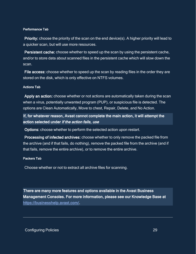#### <span id="page-29-0"></span>Performance Tab

Priority: choose the priority of the scan on the end device(s). A higher priority will lead to a quicker scan, but will use more resources.

Persistent cache: choose whether to speed up the scan by using the persistent cache, and/or to store data about scanned files in the persistent cache which will slow down the scan.

File access: choose whether to speed up the scan by reading files in the order they are stored on the disk, which is only effective on NTFS volumes.

#### <span id="page-29-1"></span>Actions Tab

Apply an action: choose whether or not actions are automatically taken during the scan when a virus, potentially unwanted program (PUP), or suspicious file is detected. The options are Clean Automatically, Move to chest, Repair, Delete, and No Action.

If, for whatever reason, Avast cannot complete the main action, it will attempt the action selected under If the action fails, use

Options: choose whether to perform the selected action upon restart.

Processing of infected archives: choose whether to only remove the packed file from the archive (and if that fails, do nothing), remove the packed file from the archive (and if that fails, remove the entire archive), or to remove the entire archive.

#### <span id="page-29-2"></span>Packers Tab

Choose whether or not to extract all archive files for scanning.

There are many more features and options available in the Avast Business Management Consoles. For more information, please see our Knowledge Base at <https://businesshelp.avast.com/>.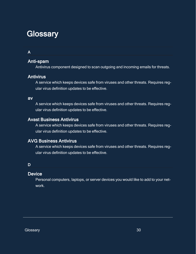# <span id="page-30-0"></span>**Glossary**

### A

## Anti-spam

Antivirus component designed to scan outgoing and incoming emails for threats.

### **Antivirus**

A service which keeps devices safe from viruses and other threats. Requires regular virus definition updates to be effective.

#### av

A service which keeps devices safe from viruses and other threats. Requires regular virus definition updates to be effective.

## Avast Business Antivirus

A service which keeps devices safe from viruses and other threats. Requires regular virus definition updates to be effective.

## AVG Business Antivirus

A service which keeps devices safe from viruses and other threats. Requires regular virus definition updates to be effective.

### D

### **Device**

Personal computers, laptops, or server devices you would like to add to your network.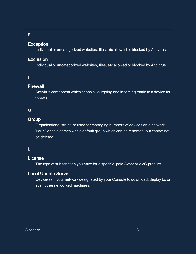#### E

#### Exception

Individual or uncategorized websites, files, etc allowed or blocked by Antivirus.

#### Exclusion

Individual or uncategorized websites, files, etc allowed or blocked by Antivirus.

#### F

## **Firewall**

Antivirus component which scans all outgoing and incoming traffic to a device for threats.

### G

## **Group**

Organizational structure used for managing numbers of devices on a network. Your Console comes with a default group which can be renamed, but cannot not be deleted.

#### L

## License

The type of subscription you have for a specific, paid Avast or AVG product.

## Local Update Server

Device(s) in your network designated by your Console to download, deploy to, or scan other networked machines.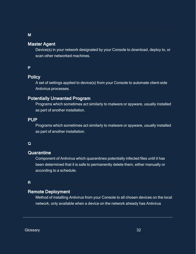### Master Agent

Device(s) in your network designated by your Console to download, deploy to, or scan other networked machines.

#### P

M

## **Policy**

A set of settings applied to device(s) from your Console to automate client-side Antivirus processes.

## Potentially Unwanted Program

Programs which sometimes act similarly to malware or spyware, usually installed as part of another installation.

#### PUP

Programs which sometimes act similarly to malware or spyware, usually installed as part of another installation.

#### Q

#### **Quarantine**

Component of Antivirus which quarantines potentially infected files until it has been determined that it is safe to permanently delete them, either manually or according to a schedule.

## R

## Remote Deployment

Method of installing Antivirus from your Console to all chosen devices on the local network, only available when a device on the network already has Antivirus